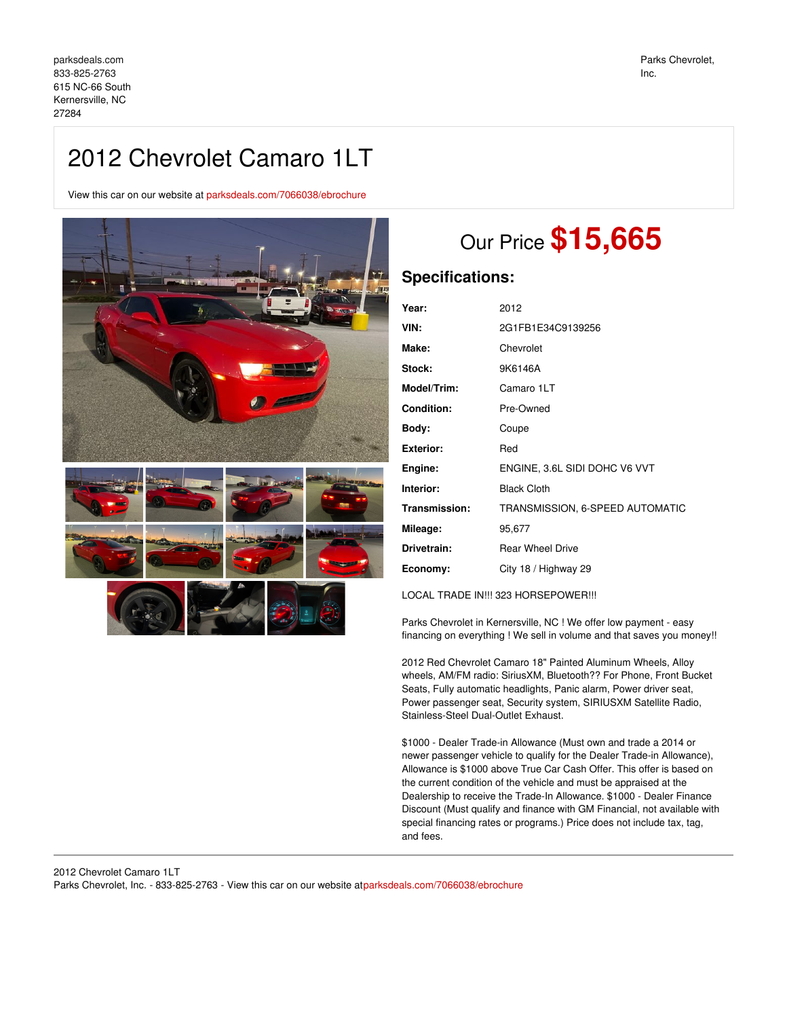View this car on our website at [parksdeals.com/7066038/ebrochure](file:///7066038/ebrochure)



# Our Price **\$15,665**

# **Specifications:**

| Year:              | 2012                            |
|--------------------|---------------------------------|
| VIN:               | 2G1FB1E34C9139256               |
| Make:              | Chevrolet                       |
| <b>Stock:</b>      | 9K6146A                         |
| <b>Model/Trim:</b> | Camaro 1LT                      |
| Condition:         | Pre-Owned                       |
| Body:              | Coupe                           |
| Exterior:          | Red                             |
| Engine:            | ENGINE, 3.6L SIDI DOHC V6 VVT   |
| Interior:          | <b>Black Cloth</b>              |
| Transmission:      | TRANSMISSION, 6-SPEED AUTOMATIC |
| Mileage:           | 95,677                          |
| Drivetrain:        | <b>Rear Wheel Drive</b>         |
| Economy:           | City 18 / Highway 29            |
|                    |                                 |

LOCAL TRADE IN!!! 323 HORSEPOWER!!!

Parks Chevrolet in Kernersville, NC ! We offer low payment - easy financing on everything ! We sell in volume and that saves you money!!

2012 Red Chevrolet Camaro 18" Painted Aluminum Wheels, Alloy wheels, AM/FM radio: SiriusXM, Bluetooth?? For Phone, Front Bucket Seats, Fully automatic headlights, Panic alarm, Power driver seat, Power passenger seat, Security system, SIRIUSXM Satellite Radio, Stainless-Steel Dual-Outlet Exhaust.

\$1000 - Dealer Trade-in Allowance (Must own and trade a 2014 or newer passenger vehicle to qualify for the Dealer Trade-in Allowance), Allowance is \$1000 above True Car Cash Offer. This offer is based on the current condition of the vehicle and must be appraised at the Dealership to receive the Trade-In Allowance. \$1000 - Dealer Finance Discount (Must qualify and finance with GM Financial, not available with special financing rates or programs.) Price does not include tax, tag, and fees.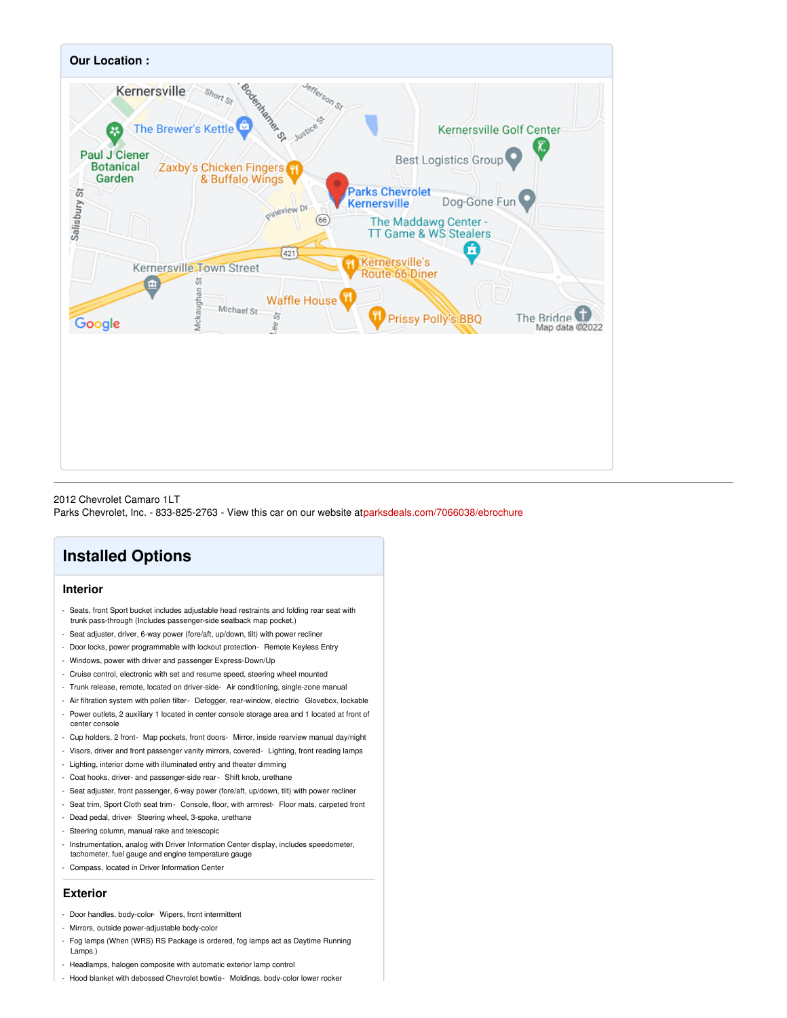

#### 2012 Chevrolet Camaro 1LT

Parks Chevrolet, Inc. - 833-825-2763 - View this car on our website a[tparksdeals.com/7066038/ebrochure](file:///7066038/ebrochure)

## **Installed Options**

#### **Interior**

- Seats, front Sport bucket includes adjustable head restraints and folding rear seat with trunk pass-through (Includes passenger-side seatback map pocket.)
- Seat adjuster, driver, 6-way power (fore/aft, up/down, tilt) with power recliner
- Door locks, power programmable with lockout protection- Remote Keyless Entry
- Windows, power with driver and passenger Express-Down/Up
- Cruise control, electronic with set and resume speed, steering wheel mounted
- Trunk release, remote, located on driver-side- Air conditioning, single-zone manual
- Air filtration system with pollen filter- Defogger, rear-window, electric- Glovebox, lockable
- Power outlets, 2 auxiliary 1 located in center console storage area and 1 located at front of center console
- Cup holders, 2 front- Map pockets, front doors- Mirror, inside rearview manual day/night
- Visors, driver and front passenger vanity mirrors, covered- Lighting, front reading lamps
- Lighting, interior dome with illuminated entry and theater dimming
- Coat hooks, driver- and passenger-side rear- Shift knob, urethane
- Seat adjuster, front passenger, 6-way power (fore/aft, up/down, tilt) with power recliner
- Seat trim, Sport Cloth seat trim- Console, floor, with armrest- Floor mats, carpeted front
- Dead pedal, driver- Steering wheel, 3-spoke, urethane
- Steering column, manual rake and telescopic
- Instrumentation, analog with Driver Information Center display, includes speedometer,
- tachometer, fuel gauge and engine temperature gauge
- Compass, located in Driver Information Center

### **Exterior**

- Door handles, body-color- Wipers, front intermittent
- Mirrors, outside power-adjustable body-color
- Fog lamps (When (WRS) RS Package is ordered, fog lamps act as Daytime Running Lamps.)
- Headlamps, halogen composite with automatic exterior lamp control
- Hood blanket with debossed Chevrolet bowtie- Moldings, body-color lower rocker